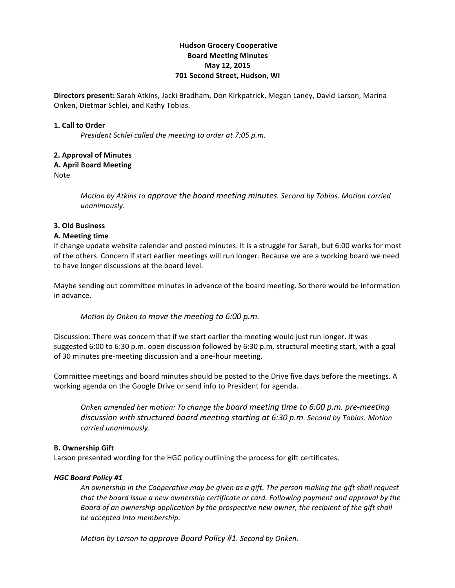# **Hudson Grocery Cooperative Board!Meeting!Minutes May 12, 2015 701 Second Street, Hudson, WI**

**Directors present:** Sarah Atkins, Jacki Bradham, Don Kirkpatrick, Megan Laney, David Larson, Marina Onken, Dietmar Schlei, and Kathy Tobias.

### **1. Call to Order**

*President Schlei called the meeting to order at 7:05 p.m.* 

## **2. Approval of Minutes**

### **A.!April Board!Meeting**

Note

*Motion by Atkins to approve the board meeting minutes. Second by Tobias. Motion carried unanimously*.

### **3.!Old!Business**

### **A. Meeting time**

If change update website calendar and posted minutes. It is a struggle for Sarah, but 6:00 works for most of the others. Concern if start earlier meetings will run longer. Because we are a working board we need to have longer discussions at the board level.

Maybe sending out committee minutes in advance of the board meeting. So there would be information in!advance.

*Motion by Onken to move the meeting to 6:00 p.m.* 

Discussion: There was concern that if we start earlier the meeting would just run longer. It was suggested 6:00 to 6:30 p.m. open discussion followed by 6:30 p.m. structural meeting start, with a goal of 30 minutes pre-meeting discussion and a one-hour meeting.

Committee meetings and board minutes should be posted to the Drive five days before the meetings. A working agenda on the Google Drive or send info to President for agenda.

*Onken amended her motion: To change the board meeting time to 6:00 p.m. pre-meeting* discussion with structured board meeting starting at 6:30 p.m. Second by Tobias. Motion carried unanimously.

## **B. Ownership Gift**

Larson presented wording for the HGC policy outlining the process for gift certificates.

## *HGC\$Board\$Policy\$#1*

*An)ownership)in)the)Cooperative)may)be)given)as)a)gift.)The)person)making)the)gift)shall)request)* that the board issue a new ownership certificate or card. Following payment and approval by the *Board of an ownership application by the prospective new owner, the recipient of the qift shall* be accepted into membership.

*Motion by Larson to approve Board Policy #1. Second by Onken.*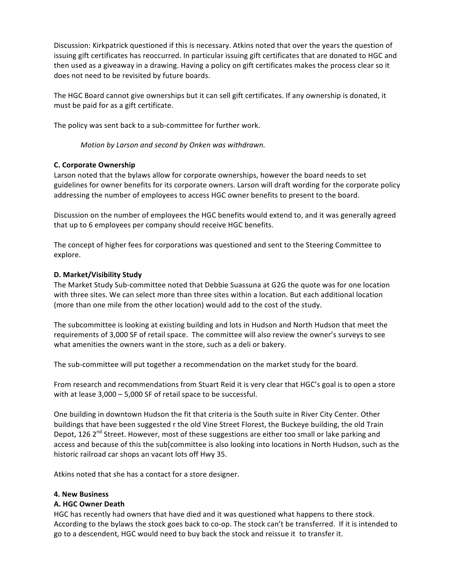Discussion: Kirkpatrick questioned if this is necessary. Atkins noted that over the years the question of issuing gift certificates has reoccurred. In particular issuing gift certificates that are donated to HGC and then used as a giveaway in a drawing. Having a policy on gift certificates makes the process clear so it does not need to be revisited by future boards.

The HGC Board cannot give ownerships but it can sell gift certificates. If any ownership is donated, it must be paid for as a gift certificate.

The policy was sent back to a sub-committee for further work.

*Motion)by)Larson and)second)by)Onken)was)withdrawn.)*

## **C. Corporate Ownership**

Larson noted that the bylaws allow for corporate ownerships, however the board needs to set guidelines for owner benefits for its corporate owners. Larson will draft wording for the corporate policy addressing the number of employees to access HGC owner benefits to present to the board.

Discussion on the number of employees the HGC benefits would extend to, and it was generally agreed that up to 6 employees per company should receive HGC benefits.

The concept of higher fees for corporations was questioned and sent to the Steering Committee to explore.

### **D.!Market/Visibility!Study**

The Market Study Sub-committee noted that Debbie Suassuna at G2G the quote was for one location with three sites. We can select more than three sites within a location. But each additional location (more than one mile from the other location) would add to the cost of the study.

The subcommittee is looking at existing building and lots in Hudson and North Hudson that meet the requirements of 3,000 SF of retail space. The committee will also review the owner's surveys to see what amenities the owners want in the store, such as a deli or bakery.

The sub-committee will put together a recommendation on the market study for the board.

From research and recommendations from Stuart Reid it is very clear that HGC's goal is to open a store with at lease  $3,000 - 5,000$  SF of retail space to be successful.

One building in downtown Hudson the fit that criteria is the South suite in River City Center. Other buildings that have been suggested r the old Vine Street Florest, the Buckeye building, the old Train Depot, 126 2<sup>nd</sup> Street. However, most of these suggestions are either too small or lake parking and access and because of this the sub[committee is also looking into locations in North Hudson, such as the historic railroad car shops an vacant lots off Hwy 35.

Atkins noted that she has a contact for a store designer.

#### **4. New Business**

## **A.!HGC!Owner!Death!**

HGC has recently had owners that have died and it was questioned what happens to there stock. According to the bylaws the stock goes back to co-op. The stock can't be transferred. If it is intended to go to a descendent, HGC would need to buy back the stock and reissue it to transfer it.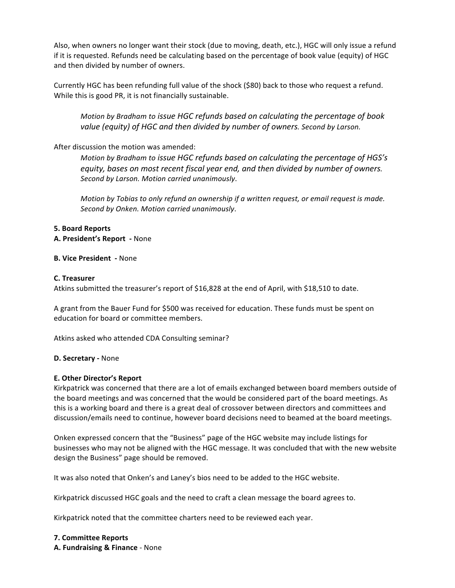Also, when owners no longer want their stock (due to moving, death, etc.), HGC will only issue a refund if it is requested. Refunds need be calculating based on the percentage of book value (equity) of HGC and then divided by number of owners.

Currently HGC has been refunding full value of the shock (\$80) back to those who request a refund. While this is good PR, it is not financially sustainable.

*Motion by Bradham to issue HGC refunds based on calculating the percentage of book* value (equity) of HGC and then divided by number of owners. Second by Larson.

## After discussion the motion was amended:

*Motion by Bradham to issue HGC refunds based on calculating the percentage of HGS's equity,)bases)on)most)recent)fiscal)year)end, and)then)divided)by)number)of)owners.) Second)by)Larson.)Motion)carried)unanimously*.

*Motion)by)Tobias to)only)refund)an)ownership)if)a)written)request,)or)email)request)is)made.) Second)by)Onken.)Motion)carried)unanimously*.

### **5.!Board!Reports**

## **A. President's Report** - None

### **B. Vice President** - None

### **C.!Treasurer**

Atkins submitted the treasurer's report of \$16,828 at the end of April, with \$18,510 to date.

A grant from the Bauer Fund for \$500 was received for education. These funds must be spent on education for board or committee members.

Atkins asked who attended CDA Consulting seminar?

## **D. Secretary - None**

## **E. Other Director's Report**

Kirkpatrick was concerned that there are a lot of emails exchanged between board members outside of the board meetings and was concerned that the would be considered part of the board meetings. As this is a working board and there is a great deal of crossover between directors and committees and discussion/emails need to continue, however board decisions need to beamed at the board meetings.

Onken expressed concern that the "Business" page of the HGC website may include listings for businesses who may not be aligned with the HGC message. It was concluded that with the new website design the Business" page should be removed.

It was also noted that Onken's and Laney's bios need to be added to the HGC website.

Kirkpatrick discussed HGC goals and the need to craft a clean message the board agrees to.

Kirkpatrick noted that the committee charters need to be reviewed each year.

**7. Committee!Reports A. Fundraising & Finance** - None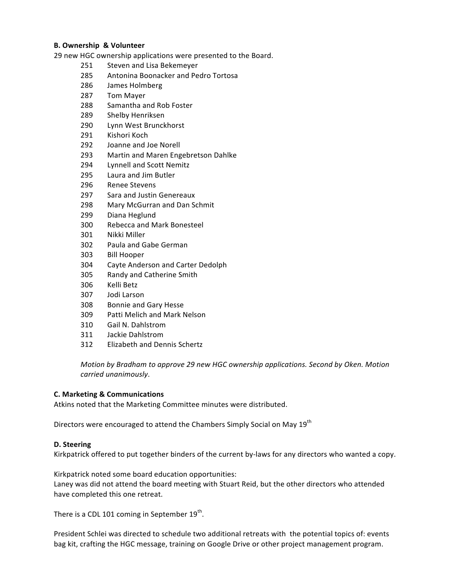## **B. Ownership & Volunteer**

29 new HGC ownership applications were presented to the Board.

- 251 Steven and Lisa Bekemeyer
- 285 Antonina Boonacker and Pedro Tortosa
- 286 James Holmberg
- 287 Tom Mayer
- 288 Samantha and Rob Foster
- 289 Shelby Henriksen
- 290 Lynn West Brunckhorst
- 291 Kishori Koch
- 292 Joanne and Joe Norell
- 293 Martin and Maren Engebretson Dahlke
- 294 **Lynnell and Scott Nemitz**
- 295 Laura and Jim Butler
- 296 **Renee Stevens**
- 297 Sara and Justin Genereaux
- 298 Mary McGurran and Dan Schmit
- 299 Diana Heglund
- 300 Rebecca and Mark Bonesteel
- 301 Nikki Miller
- 302 Paula and Gabe German
- 303 **Bill Hooper**
- 304 Cayte Anderson and Carter Dedolph
- 305 Randy and Catherine Smith
- 306 Kelli Betz
- 307 Jodi Larson
- 308 **Bonnie and Gary Hesse**
- 309 Patti Melich and Mark Nelson
- 310 Gail N. Dahlstrom
- 311 Jackie Dahlstrom
- 312 Elizabeth and Dennis Schertz

Motion by Bradham to approve 29 new HGC ownership applications. Second by Oken. Motion carried unanimously.

#### **C. Marketing & Communications**

Atkins noted that the Marketing Committee minutes were distributed.

Directors were encouraged to attend the Chambers Simply Social on May 19<sup>th</sup>

#### D. Steering

Kirkpatrick offered to put together binders of the current by-laws for any directors who wanted a copy.

Kirkpatrick noted some board education opportunities: Laney was did not attend the board meeting with Stuart Reid, but the other directors who attended have completed this one retreat.

There is a CDL 101 coming in September 19<sup>th</sup>.

President Schlei was directed to schedule two additional retreats with the potential topics of: events bag kit, crafting the HGC message, training on Google Drive or other project management program.